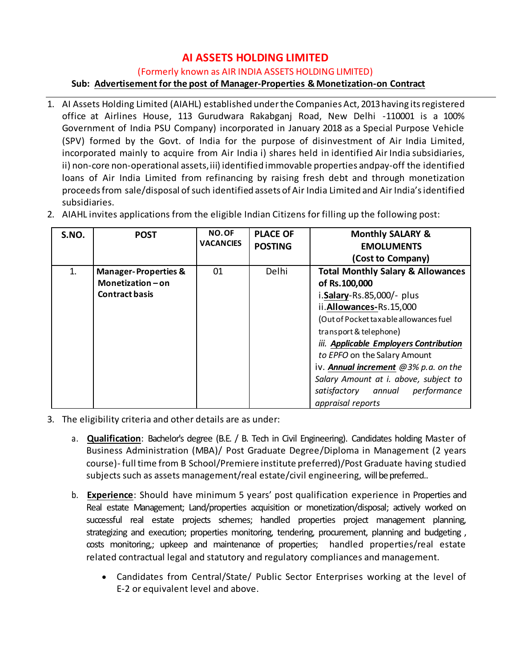# **AI ASSETS HOLDING LIMITED**

(Formerly known as AIR INDIA ASSETS HOLDING LIMITED)

# **Sub: Advertisement for the post of Manager-Properties & Monetization-on Contract**

1. AI Assets Holding Limited (AIAHL) established underthe Companies Act, 2013having itsregistered office at Airlines House, 113 Gurudwara Rakabganj Road, New Delhi -110001 is a 100% Government of India PSU Company) incorporated in January 2018 as a Special Purpose Vehicle (SPV) formed by the Govt. of India for the purpose of disinvestment of Air India Limited, incorporated mainly to acquire from Air India i) shares held in identified Air India subsidiaries, ii) non-core non-operational assets,iii) identified immovable properties andpay-off the identified loans of Air India Limited from refinancing by raising fresh debt and through monetization proceeds from sale/disposal of such identified assets of Air India Limited and Air India's identified subsidiaries.

| S.NO. | <b>POST</b>                                                                     | NO.OF<br><b>VACANCIES</b> | <b>PLACE OF</b><br><b>POSTING</b> | <b>Monthly SALARY &amp;</b><br><b>EMOLUMENTS</b><br>(Cost to Company)                                                                                                                                                                           |  |
|-------|---------------------------------------------------------------------------------|---------------------------|-----------------------------------|-------------------------------------------------------------------------------------------------------------------------------------------------------------------------------------------------------------------------------------------------|--|
| 1.    | <b>Manager-Properties &amp;</b><br>Monetization $-$ on<br><b>Contract basis</b> | 01                        | <b>Delhi</b>                      | <b>Total Monthly Salary &amp; Allowances</b><br>of Rs.100,000<br>i.Salary-Rs.85,000/- plus<br>ii.Allowances-Rs.15,000<br>(Out of Pocket taxable allowances fuel                                                                                 |  |
|       |                                                                                 |                           |                                   | transport & telephone)<br>iii. Applicable Employers Contribution<br>to EPFO on the Salary Amount<br>iv. Annual increment @3% p.a. on the<br>Salary Amount at i. above, subject to<br>annual<br>performance<br>satisfactory<br>appraisal reports |  |

2. AIAHL invites applications from the eligible Indian Citizens for filling up the following post:

- 3. The eligibility criteria and other details are as under:
	- a. **Qualification**: Bachelor's degree (B.E. / B. Tech in Civil Engineering). Candidates holding Master of Business Administration (MBA)/ Post Graduate Degree/Diploma in Management (2 years course)- full time from B School/Premiere institute preferred)/Post Graduate having studied subjects such as assets management/real estate/civil engineering, will be preferred..
	- b. **Experience**: Should have minimum 5 years' post qualification experience in Properties and Real estate Management; Land/properties acquisition or monetization/disposal; actively worked on successful real estate projects schemes; handled properties project management planning, strategizing and execution; properties monitoring, tendering, procurement, planning and budgeting, costs monitoring,; upkeep and maintenance of properties; handled properties/real estate related contractual legal and statutory and regulatory compliances and management.
		- Candidates from Central/State/ Public Sector Enterprises working at the level of E-2 or equivalent level and above.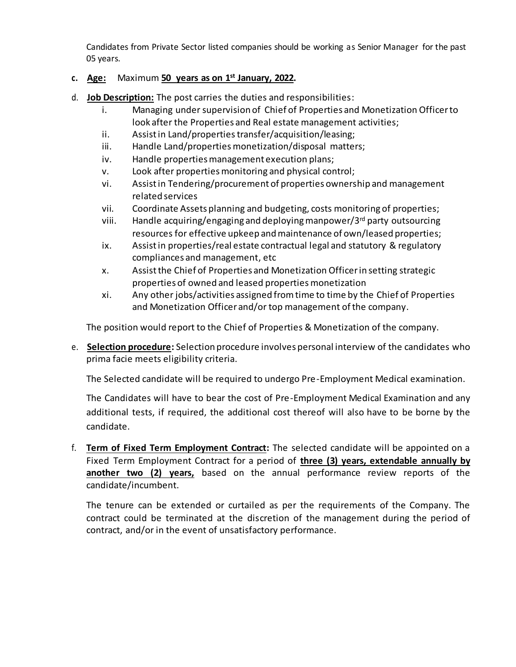Candidates from Private Sector listed companies should be working as Senior Manager for the past 05 years.

# **c. Age:** Maximum **50 years as on 1 st January, 2022.**

- d. **Job Description:** The post carries the duties and responsibilities:
	- i. Managing under supervision of Chief of Properties and Monetization Officerto look after the Properties and Real estate management activities;
	- ii. Assist in Land/properties transfer/acquisition/leasing;
	- iii. Handle Land/properties monetization/disposal matters;
	- iv. Handle properties management execution plans;
	- v. Look after properties monitoring and physical control;
	- vi. Assist in Tendering/procurement of properties ownership and management related services
	- vii. Coordinate Assets planning and budgeting, costs monitoring of properties;
	- viii. Handle acquiring/engaging and deploying manpower/3<sup>rd</sup> party outsourcing resources for effective upkeep and maintenance of own/leased properties;
	- ix. Assist in properties/real estate contractual legal and statutory & regulatory compliances and management, etc
	- x. Assistthe Chief of Properties and Monetization Officerin setting strategic properties of owned and leased properties monetization
	- xi. Any other jobs/activities assigned from time to time by the Chief of Properties and Monetization Officer and/or top management of the company.

The position would report to the Chief of Properties & Monetization of the company.

e. **Selection procedure:** Selection procedure involves personal interview of the candidates who prima facie meets eligibility criteria.

The Selected candidate will be required to undergo Pre-Employment Medical examination.

The Candidates will have to bear the cost of Pre-Employment Medical Examination and any additional tests, if required, the additional cost thereof will also have to be borne by the candidate.

f. **Term of Fixed Term Employment Contract:** The selected candidate will be appointed on a Fixed Term Employment Contract for a period of **three (3) years, extendable annually by another two (2) years,** based on the annual performance review reports of the candidate/incumbent.

The tenure can be extended or curtailed as per the requirements of the Company. The contract could be terminated at the discretion of the management during the period of contract, and/or in the event of unsatisfactory performance.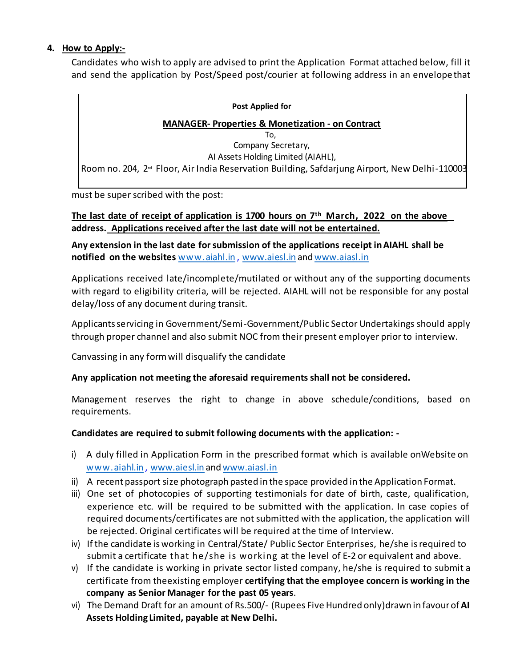# **4. How to Apply:-**

Candidates who wish to apply are advised to print the Application Format attached below, fill it and send the application by Post/Speed post/courier at following address in an envelopethat

#### **Post Applied for**

## **MANAGER- Properties & Monetization - on Contract**

To, Company Secretary, AI Assets Holding Limited (AIAHL), Room no. 204, 2<sup>™</sup> Floor, Air India Reservation Building, Safdarjung Airport, New Delhi-110003

must be super scribed with the post:

## **The last date of receipt of application is 1700 hours on 7 th March, 2022 on the above address. Applications received after the last date will not be entertained.**

**Any extension in the last date forsubmission of the applications receipt inAIAHL shall be notified on the websites** [www.aiahl.in](http://www.aiahl.in/) , [www.aiesl.in](http://www.aiesl.in/) and [www.aiasl.in](http://www.aiasl.in/)

Applications received late/incomplete/mutilated or without any of the supporting documents with regard to eligibility criteria, will be rejected. AIAHL will not be responsible for any postal delay/loss of any document during transit.

Applicants servicing in Government/Semi-Government/Public Sector Undertakings should apply through proper channel and also submit NOC from their present employer prior to interview.

Canvassing in any formwill disqualify the candidate

# **Any application not meeting the aforesaid requirements shall not be considered.**

Management reserves the right to change in above schedule/conditions, based on requirements.

# **Candidates are required to submit following documents with the application: -**

- i) A duly filled in Application Form in the prescribed format which is available onWebsite on [www.aiahl.in](http://www.aiahl.in/) , [www.aiesl.in](http://www.aiesl.in/) and [www.aiasl.in](http://www.aiasl.in/)
- ii) A recent passport size photograph pasted in the space provided in the Application Format.
- iii) One set of photocopies of supporting testimonials for date of birth, caste, qualification, experience etc. will be required to be submitted with the application. In case copies of required documents/certificates are not submitted with the application, the application will be rejected. Original certificates will be required at the time of Interview.
- iv) Ifthe candidate is working in Central/State/ Public Sector Enterprises, he/she isrequired to submit a certificate that he/she is working at the level of E-2 or equivalent and above.
- v) If the candidate is working in private sector listed company, he/she is required to submit a certificate from the existing employer **certifying that the employee concern is working in the company as Senior Manager for the past 05 years**.
- vi) The Demand Draft for an amount of Rs.500/- (Rupees Five Hundred only)drawn in favourof **AI Assets Holding Limited, payable at New Delhi.**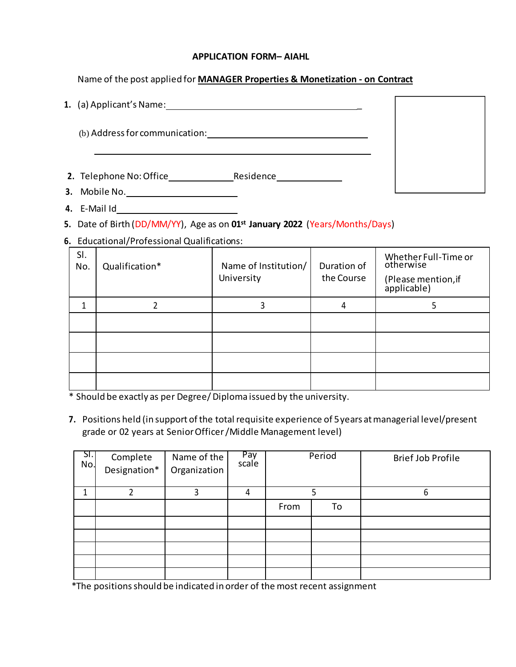#### **APPLICATION FORM– AIAHL**

Name of the post applied for **MANAGER Properties & Monetization - on Contract**

|    | 1. (a) Applicant's Name:             |  |
|----|--------------------------------------|--|
|    | (b) Address for communication:       |  |
|    |                                      |  |
|    | 2. Telephone No: Office<br>Residence |  |
| 3. | Mobile No.                           |  |

**4.** E-Mail Id

**5.** Date of Birth (DD/MM/YY), Age as on **01st January 2022** (Years/Months/Days)

**6.** Educational/Professional Qualifications:

| SI.<br>No. | Qualification* | Name of Institution/<br>University | Duration of<br>the Course | Whether Full-Time or<br>otherwise<br>(Please mention, if<br>applicable) |
|------------|----------------|------------------------------------|---------------------------|-------------------------------------------------------------------------|
|            |                | 3                                  | 4                         |                                                                         |
|            |                |                                    |                           |                                                                         |
|            |                |                                    |                           |                                                                         |
|            |                |                                    |                           |                                                                         |
|            |                |                                    |                           |                                                                         |

\* Should be exactly as per Degree/Diploma issued by the university.

**7.** Positions held (in support of the total requisite experience of 5 years at managerial level/present grade or 02 years at Senior Officer/Middle Management level)

| SI.<br>No. | Complete<br>Designation* | Name of the<br>Organization | Pay<br>scale | Period |    | <b>Brief Job Profile</b> |
|------------|--------------------------|-----------------------------|--------------|--------|----|--------------------------|
| 4          |                          |                             |              |        |    |                          |
|            |                          |                             |              | From   | To |                          |
|            |                          |                             |              |        |    |                          |
|            |                          |                             |              |        |    |                          |
|            |                          |                             |              |        |    |                          |
|            |                          |                             |              |        |    |                          |
|            |                          |                             |              |        |    |                          |

\*The positionsshould be indicated in order of the most recent assignment